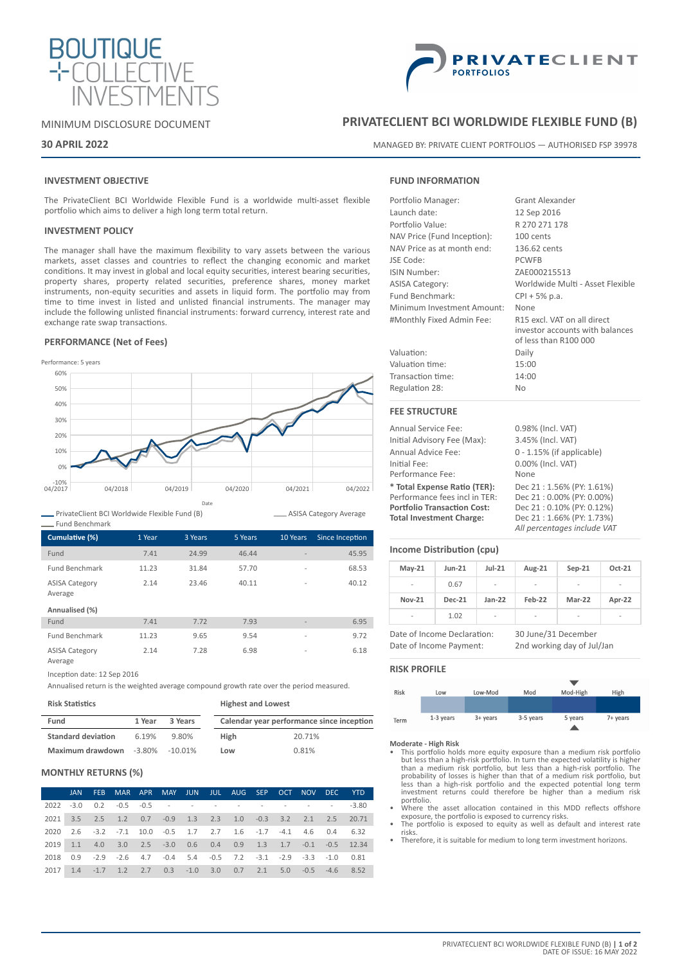

# MINIMUM DISCLOSURE DOCUMENT

# **30 APRIL 2022**

# **INVESTMENT OBJECTIVE**

The PrivateClient BCI Worldwide Flexible Fund is a worldwide multi-asset flexible portfolio which aims to deliver a high long term total return.

# **INVESTMENT POLICY**

The manager shall have the maximum flexibility to vary assets between the various markets, asset classes and countries to reflect the changing economic and market conditions. It may invest in global and local equity securities, interest bearing securities, property shares, property related securities, preference shares, money market instruments, non-equity securities and assets in liquid form. The portfolio may from time to time invest in listed and unlisted financial instruments. The manager may include the following unlisted financial instruments: forward currency, interest rate and exchange rate swap transactions.

## **PERFORMANCE (Net of Fees)**



PrivateClient BCI Worldwide Flexible Fund (B)

| <b>Fund Benchmark</b>            |        |         |         |                          |                 |
|----------------------------------|--------|---------|---------|--------------------------|-----------------|
| Cumulative (%)                   | 1 Year | 3 Years | 5 Years | 10 Years                 | Since Inception |
| Fund                             | 7.41   | 24.99   | 46.44   | $\overline{\phantom{0}}$ | 45.95           |
| <b>Fund Benchmark</b>            | 11.23  | 31.84   | 57.70   | $\overline{a}$           | 68.53           |
| <b>ASISA Category</b><br>Average | 2.14   | 23.46   | 40.11   | $\overline{a}$           | 40.12           |
| Annualised (%)                   |        |         |         |                          |                 |
| Fund                             | 7.41   | 7.72    | 7.93    | ٠                        | 6.95            |
| <b>Fund Benchmark</b>            | 11.23  | 9.65    | 9.54    | $\overline{a}$           | 9.72            |
| <b>ASISA Category</b><br>Average | 2.14   | 7.28    | 6.98    | $\overline{a}$           | 6.18            |

Inception date: 12 Sep 2016

Annualised return is the weighted average compound growth rate over the period measured.

### **Risk Statistics**

| .                         |        |         |             |                                           |  |  |
|---------------------------|--------|---------|-------------|-------------------------------------------|--|--|
| Fund                      | 1 Year | 3 Years |             | Calendar year performance since inception |  |  |
| <b>Standard deviation</b> | 6.19%  | 9.80%   | <b>High</b> | 20.71%                                    |  |  |

**Highest and Lowest**

**Low** 0.81%

### **MONTHLY RETURNS (%)**

**Maximum drawdown** -3.80% -10.01%

|      | <b>JAN</b> | FEB.            |                                                                                        |  |  | MAR APR MAY JUN JUL AUG SEP OCT NOV DEC |     |             | <b>YTD</b>                                       |
|------|------------|-----------------|----------------------------------------------------------------------------------------|--|--|-----------------------------------------|-----|-------------|--------------------------------------------------|
| 2022 |            |                 | $-3.0$ $0.2$ $-0.5$ $-0.5$ $    -$                                                     |  |  |                                         |     |             | $-3.80$                                          |
| 2021 |            |                 | 3.5 2.5 1.2 0.7 -0.9 1.3 2.3 1.0 -0.3 3.2 2.1 2.5 20.71                                |  |  |                                         |     |             |                                                  |
| 2020 |            |                 | 2.6 -3.2 -7.1 10.0 -0.5 1.7 2.7 1.6 -1.7 -4.1 4.6 0.4 6.32                             |  |  |                                         |     |             |                                                  |
| 2019 |            | $1.1 \quad 4.0$ |                                                                                        |  |  |                                         |     |             | 3.0 2.5 -3.0 0.6 0.4 0.9 1.3 1.7 -0.1 -0.5 12.34 |
| 2018 |            |                 | $0.9$ $-2.9$ $-2.6$ $4.7$ $-0.4$ $5.4$ $-0.5$ $7.2$ $-3.1$ $-2.9$ $-3.3$ $-1.0$ $0.81$ |  |  |                                         |     |             |                                                  |
| 2017 | 1.4        | $-1.7$          | 1.2 2.7 0.3 -1.0 3.0 0.7 2.1                                                           |  |  |                                         | 5.0 | $-0.5 -4.6$ | 8.52                                             |



# **PRIVATECLIENT BCI WORLDWIDE FLEXIBLE FUND (B)**

MANAGED BY: PRIVATE CLIENT PORTFOLIOS — AUTHORISED FSP 39978

# **FUND INFORMATION**

| Portfolio Manager:          | <b>Grant Alexander</b>                                                                  |
|-----------------------------|-----------------------------------------------------------------------------------------|
| Launch date:                | 12 Sep 2016                                                                             |
| Portfolio Value:            | R 270 271 178                                                                           |
| NAV Price (Fund Inception): | 100 cents                                                                               |
| NAV Price as at month end:  | 136.62 cents                                                                            |
| JSE Code:                   | <b>PCWFB</b>                                                                            |
| ISIN Number:                | ZAE000215513                                                                            |
| <b>ASISA Category:</b>      | Worldwide Multi - Asset Flexible                                                        |
| Fund Benchmark:             | $CPI + 5% p.a.$                                                                         |
| Minimum Investment Amount:  | None                                                                                    |
| #Monthly Fixed Admin Fee:   | R15 excl. VAT on all direct<br>investor accounts with balances<br>of less than R100 000 |
| Valuation:                  | Daily                                                                                   |
| Valuation time:             | 15:00                                                                                   |
| Transaction time:           | 14:00                                                                                   |
| Regulation 28:              | <b>No</b>                                                                               |
| <b>FEE STRUCTURE</b>        |                                                                                         |
| <b>Annual Service Fee:</b>  | 0.98% (Incl. VAT)                                                                       |
| Initial Advisory Fee (Max): | 3.45% (Incl. VAT)                                                                       |
|                             |                                                                                         |

Annual Advice Fee: 0 - 1.15% (if applicable) Initial Fee: 0.00% (Incl. VAT) Performance Fee: None **\* Total Expense Ratio (TER):** Dec 21 : 1.56% (PY: 1.61%) Performance fees incl in TER: Dec 21 : 0.00% (PY: 0.00%)<br> **Portfolio Transaction Cost:** Dec 21 : 0.10% (PY: 0.12%) **Portfolio Transaction Cost:**<br>Total Investment Charge: **Total Investment Charge:** Dec 21 : 1.66% (PY: 1.73%)

# **Income Distribution (cpu)**

| $May-21$       | <b>Jun-21</b> | $Jul-21$                 | Aug-21 | $Sep-21$ | Oct-21                   |
|----------------|---------------|--------------------------|--------|----------|--------------------------|
| $\overline{a}$ | 0.67          | $\overline{\phantom{a}}$ | -      | ۰        | -                        |
| <b>Nov-21</b>  | <b>Dec-21</b> | $Jan-22$                 | Feb-22 | Mar-22   | Apr-22                   |
| $\overline{a}$ | 1.02          | -                        | -      | ۰        | $\overline{\phantom{a}}$ |

Date of Income Declaration: 30 June/31 December Date of Income Payment: 2nd working day of Jul/Jan

*All percentages include VAT*

# **RISK PROFILE**

ASISA Category Average



- **Moderate High Risk** This portfolio holds more equity exposure than a medium risk portfolio but less than a high-risk portfolio. In turn the expected volatility is higher than a medium risk portfolio, but less than a high-risk portfolio. The probability of losses is higher than that of a medium risk portfolio. Du
- Where the asset allocation contained in this MDD reflects offshore<br>exposure, the portfolio is exposed to currency risks.<br>The portfolio is exposed to equity as well as default and interest rate
- risks.
- Therefore, it is suitable for medium to long term investment horizons.